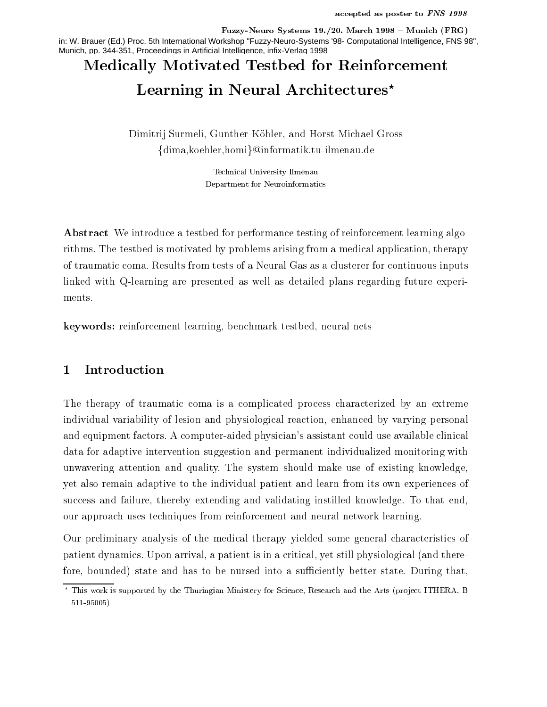ruzzy-neuro systems 19.720. March 1990 – Munich (Fro) in: W. Brauer (Ed.) Proc. 5th International Workshop "Fuzzy-Neuro-Systems '98- Computational Intelligence, FNS 98", Munich, pp. 344-351, Proceedings in Artificial Intelligence, infix-Verlag 1998

# Medically Motivated Testbed for Reinforcement Learning in Neural Architectures

a control surmerly dimensional control work control the surface and  $\sim$  $\{ \mathrm{dim} \mathrm{a}, \mathrm{ko} \mathrm{e} \mathrm{hler}, \mathrm{homi} \} @\mathrm{informat} \mathrm{ik.tu\text{-}ilmenau.de}$ 

> Technical University Ilmenau Department for Neuroinformatics

Abstract We introduce a testbed for performance testing of reinforcement learning algorithms The testbed is motivated by problems arising from a medical application- therapy of traumatic coma Results from tests of a Neural Gas as a clusterer for continuous inputs linked with Q-learning are presented as well as detailed plans regarding future experiments

er, o benchmark testerbed-benchmark testerbed- in der den benchmark test benonder der den ben

#### Introduction 1

The therapy of traumatic coma is a complicated process characterized by an extreme individual variability of lesion and physiological reaction- enhanced by varying personal and equipment factors. A computer-aided physician's assistant could use available clinical data for adaptive intervention suggestion and permanent individualized monitoring with unwavering attention and quality. The system should make use of existing knowledge, yet also remain adaptive to the individual patient and learn from its own experiences of success and failure- thereby extending and validating from and validating to the endour approach uses techniques from reinforcement and neural network learning

Our preliminary analysis of the medical therapy yielded some general characteristics of patient dynamics Upon arrival-dynamics Upon arrival-dynamics upon and there are an and the criticalfore- bounded state and has to be nursed into a su ciently better state During that-

This work is supported by the Thuringian Ministery for Science, Research and the Arts (project ITHERA,  $\,$ 511-95005)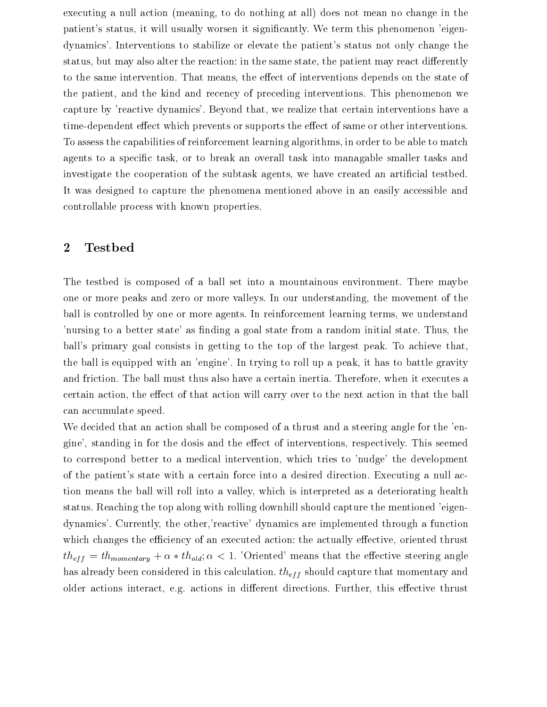executing a null action meaning-does not meaning-independent in the second interest  $\alpha$  and  $\alpha$ patients status- it will usually worsen it signicantly We term this phenomenon eigen dynamics'. Interventions to stabilize or elevate the patient's status not only change the status- but may also alter the reaction in the same state- the patient may react di
erently to the same intervention That means- the e
ect of interventions depends on the state of the patient- and the kind and recency of preceding interventions This phenomenon we capture by reactive dynamics Beyond that that that the realize that certain interventions have a strong that t time-dependent effect which prevents or supports the effect of same or other interventions. To assess the capabilities of reinforcement learning algorithms  $\mathbf{M}$ agents to a specific task-break and overall task-break and  $\alpha$ investigate the cooperation of the subtask agents- we have created an articial testbed It was designed to capture the phenomena mentioned above in an easily accessible and controllable process with known properties

#### $\bf{2}$ Testbed

The testbed is composed of a ball set into a mountainous environment. There maybe one or more peaks and zero or more valleys In our understanding- the movement of the ball is controlled by one or more agents In reinforcement learning terms- we understand nursing to a better state as not measured a goal state from a random initial state  $\sim$ ball's primary goal consists in getting to the top of the largest peak. To achieve that, the ball is equipped with an engine I and  $\alpha$  peaks  $\alpha$  peaks to a peak  $\alpha$  and  $\alpha$ and friction The ball must thus also have also formed the certain intertional there is executed to the form of certain action-that action-that action-to-that action will carry over the next action in that the next action in can accumulate speed

We decided that an action shall be composed of a thrust and a steering angle for the 'engives the dosing in formation and the economic control the extensions of interventions-  $\alpha$  interventionsto correspond better to a medical intervention-corresponding to the development of the development. of the patient's state with a certain force into a desired direction. Executing a null acthe ball will relate the ball will relate as a valley-determined as a determined as a determined as a determined  $\mathbf{M}$ status. Reaching the top along with rolling downhill should capture the mentioned 'eigendynamics currently-contractive dynamics are implemented through a function  $\mathcal{A}$  is a function of  $\mathcal{A}$ which changes the executive- and executive actionally executive- actions and executive- actions and the control  $th_{eff} = th_{momentary} + \alpha * th_{old}$ ;  $\alpha < 1$ . Uriented means that the effective steering angle has already been considered in this calculation.  $th_{eff}$  should capture that momentary and older actions interact- eg actions in di
erent directions Further- this e
ective thrust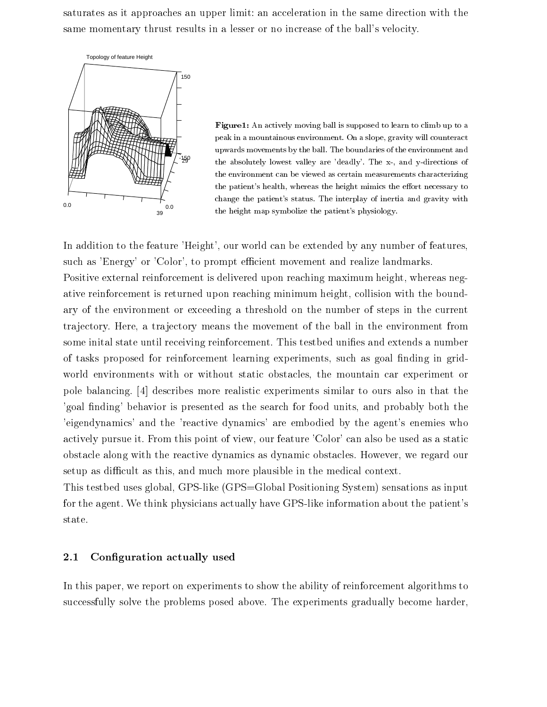saturates as it approaches an upper limit an acceleration in the same direction with the same momentary thrust results in a lesser or no increase of the ball's velocity.



Figure An actively moving ball is supposed to learn to climb up to a peak in a mountain a slope-in-the-counteraction of the slope-in-peak in a slope-in-the-counteraction of the slo upwards movements by the ball  $\mathcal{D}_{\mathcal{A}}$  and the environment and the environment and the environment and the environment and the environment and the environment and the environment and the environment and the environme the absolutely lowest value, and dealing, a mode is a demonstration of  $\sim$ the environment can be viewed as certain measurements characterizing the patients health-control the state minimized mimicis the excession ( ) to change the patients status status status status status and gravity with an and gravity with an and gravity with the height map symbolize the patient's physiology.

In addition to the feature Height- our world can be extended by any number of featuressuch as Energy or Color-Joe prompt emotions movement and realize landmarks. Positive external reinforcement is delivered upon reaching maximum height- whereas neg ative refugees refugees and  $\mathbf{r}$  reaching minimum height-bound minimum height-bound minimum height-bound minimum height-bound minimum height-bound minimum height-bound minimum height-bound minimum height-bound minimum ary of the environment or exceeding a threshold on the number of steps in the current trajectory Here- a tra jectory means the movement of the ball in the environment from some inital state until receiving reinforcement. This testbed unifies and extends a number of the control proposed for references in the controller  $\alpha$  as  $\alpha$  as going in  $\alpha$  as  $\alpha$  . The controller in  $\alpha$ with the mountain with or without static obstacles- the mountain care mountain car experiment or the mountain pole balancing. [4] describes more realistic experiments similar to ours also in that the goal nding behavior is presented as the search for food units- and probably both the eigendynamics' and the 'reactive dynamics' are embodied by the agent's enemies who actively pursue it From this point of view- our feature Color can also be used as a static obstacle along with the reactive dynamics as dynamic obstacles However- we regard our setup as the much more plants as the much more plants in the medical contexts of the medical contexts in the m

This test bed uses global-dimensioning  $\mathbf{M}$  as input  $\mathbf{M}$  as input  $\mathbf{M}$ for the agent. We think physicians actually have GPS-like information about the patient's state

### 2.1 Configuration actually used

In this paper- we report on experiments to show the ability of reinforcement algorithms to successfully solve the problems posed above. The experiments gradually become harder,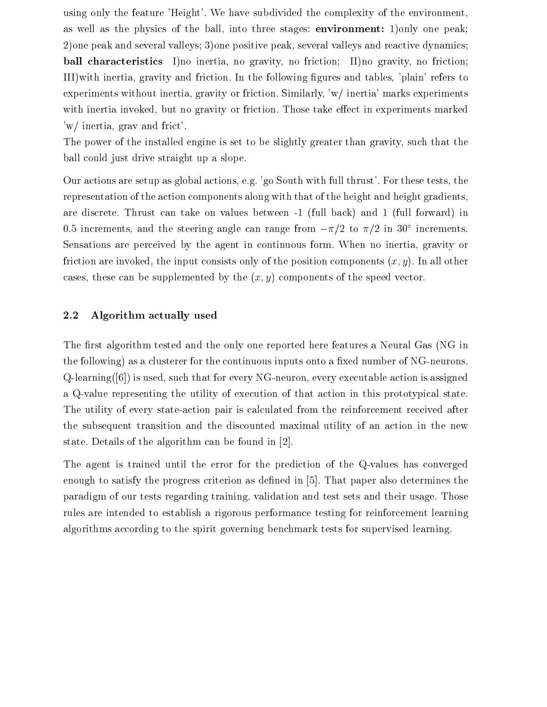using only the feature 'Height'. We have subdivided the complexity of the environment, as well as the physics of the ball- into three stages environment- only one peak one peak and several valleys one positive peak- several valleys and reactive dynamics ball characteristics I no inertia- no gravity- no friction II no gravity- no friction III in the following gravity and friction  $\mathcal{U}$  in the following gures and tablesexperiments without intertion,  $\eta$  in i.e. friction similarly-similarly-similarly-similarly-similarly-similarlywith intertion intertiguous are gravity or intertional marked those those tap in experiments manufactured in where  $\mathbf{r}$  is the frict contract of the friction of the friction of the friction of the friction of the friction of the friction of the friction of the friction of the friction of the friction of the friction of the fr

The power of the installed engine is set to be slightly greater than gravity- such that the ball could just drive straight up a slope

Our actions are setup as global actions- eg go South with full thrust For these tests- the representation of the action components along with that of the height and height gradientsare discrete. Thrust can take on values between  $-1$  (full back) and 1 (full forward) in 0.5 increments, and the steering angle can range from  $-\pi/2$  to  $\pi/2$  in  $50$  -increments. Sensations are perceived by the agent in continuous form When no inertia- gravity or the input are influenced are input components at the position components (with it will other to cases, these can be suppremented by the  $\lfloor m/d \rfloor$  components of the speed vector.

#### 2.2 Algorithm actually used

The first algorithm tested and the only one reported here features a Neural Gas (NG in the following) as a clusterer for the continuous inputs onto a fixed number of  $NG$ -neurons. que the that for every notice that for every notice action is assigned as securities and the consequence of the a Q-value representing the utility of execution of that action in this prototypical state. The utility of every state-action pair is calculated from the reinforcement received after the subsequent transition and the discounted maximal utility of an action in the new state. Details of the algorithm can be found in  $[2]$ .

The agent is trained until the error for the prediction of the Q-values has converged enough to satisfy the progress criterion as defined in  $[5]$ . That paper also determines the paradigm of our tests regarding training-tests reduced their used three measurements and the sets sets and the rules are intended to establish a rigorous performance testing for reinforcement learning algorithms according to the spirit governing benchmark tests for supervised learning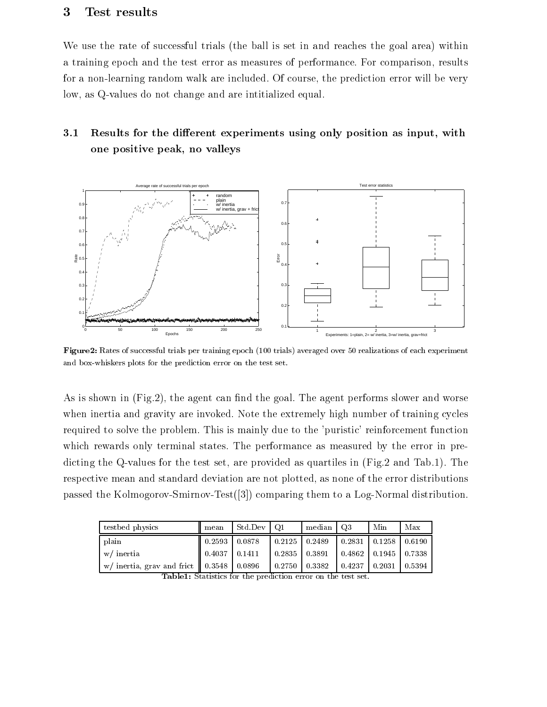# Test results

We use the rate of successful trials (the ball is set in and reaches the goal area) within a training epoch and the test error as measures of performance For comparison-  $\sim$ for a nonlearning random walk are included Of course- the prediction error will be very low- as Qvalues do not change and are intitialized equal

# 3.1 Results for the different experiments using only position as input, with one positive peak, no valleys



Figure Rates of successful trials per training epoch trials averaged over realizations of each experiment and box-whiskers plots for the prediction error on the test set.

As is shown in Fig. , the agent can not the agent can not work performs slower worse  $\alpha$ when inertia and gravity are invoked. Note the extremely high number of training cycles required to solve the problem. This is mainly due to the 'puristic' reinforcement function which rewards only terminal states. The performance as measured by the error in predicting the Qvalues for the test set-contract provided as qualitative in Qualitative in Table 1996. The test o respective mean and standard deviation are not plotted- as none of the error distributions passed the Kolmogorov-Smirnov-Test $(3)$  comparing them to a Log-Normal distribution.

| test bed physics                              | mean   | Std Dev | Q <sub>1</sub>      | median | Q3     | Min                        | Max    |
|-----------------------------------------------|--------|---------|---------------------|--------|--------|----------------------------|--------|
| plain                                         | 0.2593 | 0.0878  | $0.2125$   0.2489   |        |        | $0.2831$   0.1258          | 0.6190 |
| w/ inertia                                    | 0.4037 | 0.1411  | $0.2835$   $0.3891$ |        |        | $0.4862$   0.1945   0.7338 |        |
| w/ inertia, grav and frict $\parallel$ 0.3548 |        | 0.0896  | 0.2750              | 0.3382 | 0.4237 | 0.2031                     | 0.5394 |

| <b>Table1:</b> Statistics for the prediction error on the test set. |  |  |  |
|---------------------------------------------------------------------|--|--|--|
|---------------------------------------------------------------------|--|--|--|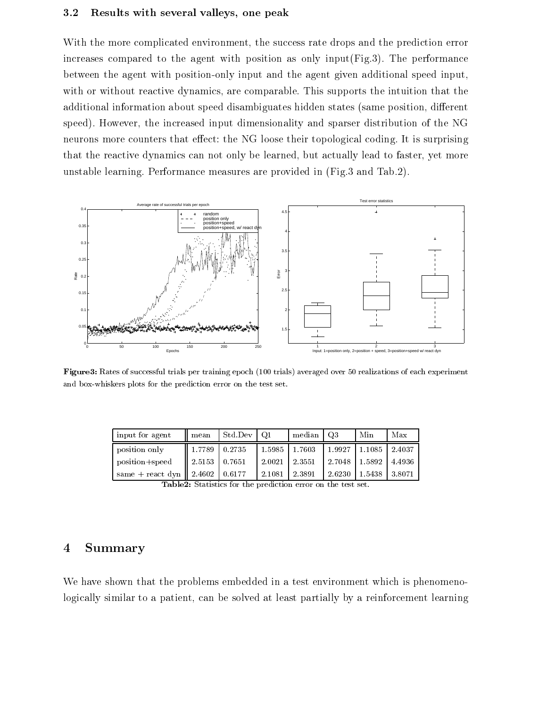#### 3.2 Results with several valleys, one peak

With the more complicated environment- the success rate drops and the prediction error increases compared to the agent with position as only input( $Fig. 3$ ). The performance between the agent with position-only input and the agent given additional speed input, with are comparable transition organizations that the interpretation that the interpretation that the interpreta additional information about speed disambiguates in the states same position- position- position- interestionspeed However- the increased input dimensionality and sparser distribution of the NG neurons more counters that effect: the NG loose their topological coding. It is surprising that the reactive dynamics can not only be learned- but actually lead to faster- yet more unstable learning. Performance measures are provided in  $(Fig.3 \text{ and } Tab.2)$ .



Figure Rates of successful trials per training epoch trials averaged over realizations of each experiment and box-whiskers plots for the prediction error on the test set.

| input for agent             | mean            | Std Dev | -01    | median  | O3     | Min    | Max    |
|-----------------------------|-----------------|---------|--------|---------|--------|--------|--------|
| position only               | 1.7789          | 10.2735 | 1.5985 | 1.7603  | 1.9927 | 1.1085 | 2.4037 |
| position+speed              | 2.5153   0.7651 |         | 2.0021 | 12.3551 | 2.7048 | 1.5892 | 4.4936 |
| same + react dyn   $2.4602$ |                 | 0.6177  | 2.1081 | 2.3891  | 2.6230 | 1.5438 | 3.8071 |

Table Statistics for the prediction error on the test set

### Summary

We have shown that the problems embedded in a test environment which is phenomenologically similar to a patient- can be solved at least partially by a reinforcement learning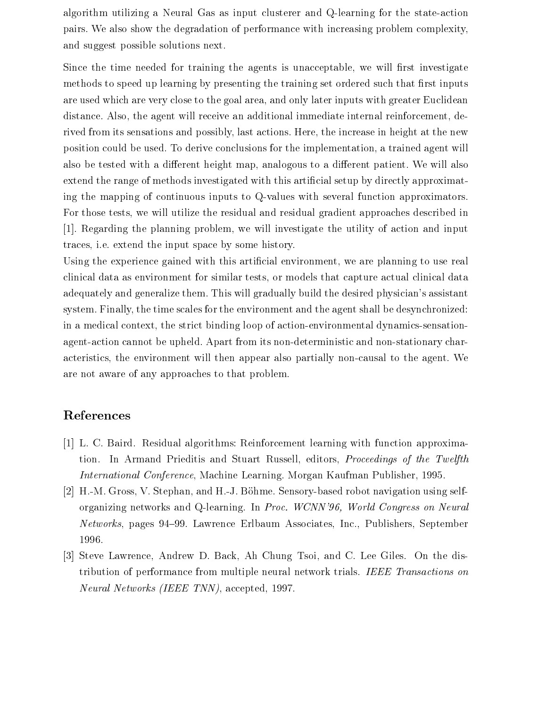algorithm utilizing a Neural Gas as input clusterer and Q-learning for the state-action pairs. We also show the degradation of performance with increasing problem complexity, and suggest possible solutions next

Since the time needed for training the agents is unacceptable- we will rst investigate methods to speed up learning by presenting the training set ordered such that first inputs are used which are very close to the goal areas visit with greater inputs with greater  $\sim$  and  $\sim$ distance also-the agent will receive an additional immediate immediate internal relationship internal relationship rived from its sensations and possibly- last actions Here- the increase in height at the new position could be used To derive conclusions for the implementation- a trained agent will also be tested with a di
erent height map- analogous to a di
erent patient We will also extend the range of methods investigated with this artificial setup by directly approximating the mapping of continuous inputs to Q-values with several function approximators. For those tests- we will utilize the residual and residual gradient approaches described in regarding the planning problems in the utility of action and input in the utility of action and input in the u traces are interested the input space of the input space of the input space  $\mathcal{C}$ 

Using the experience gained with this articial environment- we are planning to use real clinical data as environment for similar tests- or models that capture actual clinical data adequately and generalize them. This will gradually build the desired physician's assistant system Finally- the time scales for the environment and the agent shall be desynchronized in a medical context-the strict binding loop of actionenvironmental dynamics of actionenvironmental district b agent-action cannot be upheld. Apart from its non-deterministic and non-stationary characteristics, the environment will then appear also particularly notice to the agent Western Western Western We are not aware of any approaches to that problem

## References

- [1] L. C. Baird. Residual algorithms: Reinforcement learning with function approximation In Armand Priests and Stuart Russell- (Stuart Russell-Company of the Twelfthe Twelfthe Twelfthe Twelfthe International Conference- Machine Learning Morgan Kaufman Publisher-
- HM Gross- V Stephan- and HJ Bohme Sensorybased robot navigation using self organizing networks and Qlearning In Proc- WCNN World Congress on Neural Networks- pages Lawrence Erlbaum Associates- Inc- Publishers- September 1996.
- ist contract and control and Chung Tsoi-Chung Tsoi-Chung Chung Chung Chung Chung Chung Chung Chung Chung Chung tribution of performance from multiple neural network trials. IEEE Transactions on Neural Networks IEEE TNN- accepted-